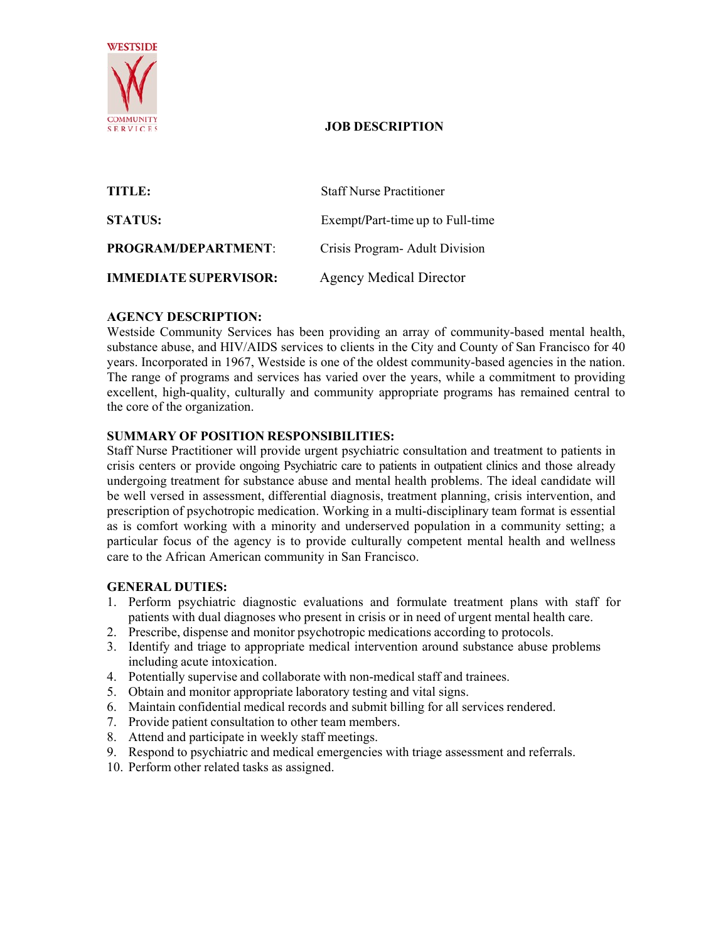

# **JOB DESCRIPTION**

| TITLE:                       | <b>Staff Nurse Practitioner</b>  |
|------------------------------|----------------------------------|
| <b>STATUS:</b>               | Exempt/Part-time up to Full-time |
| <b>PROGRAM/DEPARTMENT:</b>   | Crisis Program- Adult Division   |
| <b>IMMEDIATE SUPERVISOR:</b> | <b>Agency Medical Director</b>   |

# **AGENCY DESCRIPTION:**

Westside Community Services has been providing an array of community-based mental health, substance abuse, and HIV/AIDS services to clients in the City and County of San Francisco for 40 years. Incorporated in 1967, Westside is one of the oldest community-based agencies in the nation. The range of programs and services has varied over the years, while a commitment to providing excellent, high-quality, culturally and community appropriate programs has remained central to the core of the organization.

# **SUMMARY OF POSITION RESPONSIBILITIES:**

Staff Nurse Practitioner will provide urgent psychiatric consultation and treatment to patients in crisis centers or provide ongoing Psychiatric care to patients in outpatient clinics and those already undergoing treatment for substance abuse and mental health problems. The ideal candidate will be well versed in assessment, differential diagnosis, treatment planning, crisis intervention, and prescription of psychotropic medication. Working in a multi-disciplinary team format is essential as is comfort working with a minority and underserved population in a community setting; a particular focus of the agency is to provide culturally competent mental health and wellness care to the African American community in San Francisco.

### **GENERAL DUTIES:**

- 1. Perform psychiatric diagnostic evaluations and formulate treatment plans with staff for patients with dual diagnoses who present in crisis or in need of urgent mental health care.
- 2. Prescribe, dispense and monitor psychotropic medications according to protocols.
- 3. Identify and triage to appropriate medical intervention around substance abuse problems including acute intoxication.
- 4. Potentially supervise and collaborate with non-medical staff and trainees.
- 5. Obtain and monitor appropriate laboratory testing and vital signs.
- 6. Maintain confidential medical records and submit billing for all services rendered.
- 7. Provide patient consultation to other team members.
- 8. Attend and participate in weekly staff meetings.
- 9. Respond to psychiatric and medical emergencies with triage assessment and referrals.
- 10. Perform other related tasks as assigned.